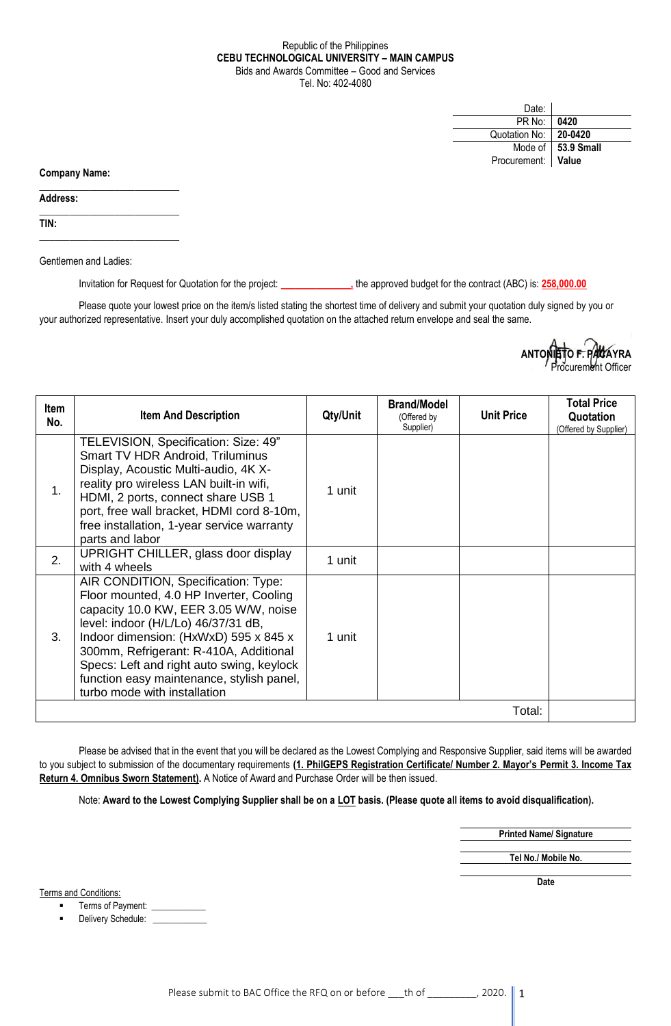## Republic of the Philippines **CEBU TECHNOLOGICAL UNIVERSITY – MAIN CAMPUS** Bids and Awards Committee – Good and Services Tel. No: 402-4080

| Date:              |                      |
|--------------------|----------------------|
| PR No:             | 0420                 |
| Quotation No:      | 20-0420              |
|                    | Mode of   53.9 Small |
| Procurement: Value |                      |

**Company Name:**

**Address:** 

**TIN:**

Gentlemen and Ladies:

 $\_$ 

 $\_$ 

\_\_\_\_\_\_\_\_\_\_\_\_\_\_\_\_\_\_\_\_\_\_\_\_\_\_\_\_

Invitation for Request for Quotation for the project: **\_\_\_\_\_\_\_\_\_\_\_\_\_\_,** the approved budget for the contract (ABC) is: **258,000.00**

Please quote your lowest price on the item/s listed stating the shortest time of delivery and submit your quotation duly signed by you or your authorized representative. Insert your duly accomplished quotation on the attached return envelope and seal the same.

> **ANTONIETO F. PACAYRA** ocurement Officer

| <b>Item</b><br>No. | <b>Item And Description</b>                                                                                                                                                                                                                                                                                                                                                 | Qty/Unit | <b>Brand/Model</b><br>(Offered by<br>Supplier) | <b>Unit Price</b> | <b>Total Price</b><br>Quotation<br>(Offered by Supplier) |
|--------------------|-----------------------------------------------------------------------------------------------------------------------------------------------------------------------------------------------------------------------------------------------------------------------------------------------------------------------------------------------------------------------------|----------|------------------------------------------------|-------------------|----------------------------------------------------------|
| 1 <sub>1</sub>     | TELEVISION, Specification: Size: 49"<br>Smart TV HDR Android, Triluminus<br>Display, Acoustic Multi-audio, 4K X-<br>reality pro wireless LAN built-in wifi,<br>HDMI, 2 ports, connect share USB 1<br>port, free wall bracket, HDMI cord 8-10m,<br>free installation, 1-year service warranty<br>parts and labor                                                             | 1 unit   |                                                |                   |                                                          |
| 2.                 | UPRIGHT CHILLER, glass door display<br>with 4 wheels                                                                                                                                                                                                                                                                                                                        | 1 unit   |                                                |                   |                                                          |
| 3.                 | AIR CONDITION, Specification: Type:<br>Floor mounted, 4.0 HP Inverter, Cooling<br>capacity 10.0 KW, EER 3.05 W/W, noise<br>level: indoor (H/L/Lo) 46/37/31 dB,<br>Indoor dimension: (HxWxD) 595 x 845 x<br>300mm, Refrigerant: R-410A, Additional<br>Specs: Left and right auto swing, keylock<br>function easy maintenance, stylish panel,<br>turbo mode with installation | 1 unit   |                                                |                   |                                                          |
| Total:             |                                                                                                                                                                                                                                                                                                                                                                             |          |                                                |                   |                                                          |

Please be advised that in the event that you will be declared as the Lowest Complying and Responsive Supplier, said items will be awarded to you subject to submission of the documentary requirements **(1. PhilGEPS Registration Certificate/ Number 2. Mayor's Permit 3. Income Tax Return 4. Omnibus Sworn Statement).** A Notice of Award and Purchase Order will be then issued.

Note: **Award to the Lowest Complying Supplier shall be on a LOT basis. (Please quote all items to avoid disqualification).**

**Printed Name/ Signature**

**Tel No./ Mobile No.**

**Date**

Terms and Conditions:

Terms of Payment: \_\_\_\_\_

Delivery Schedule: \_\_\_\_\_\_